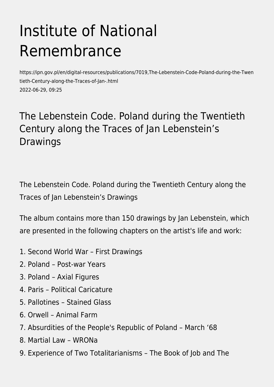## Institute of National Remembrance

https://ipn.gov.pl/en/digital-resources/publications/7019,The-Lebenstein-Code-Poland-during-the-Twen tieth-Century-along-the-Traces-of-Jan-.html 2022-06-29, 09:25

## The Lebenstein Code. Poland during the Twentieth Century along the Traces of Jan Lebenstein's Drawings

The Lebenstein Code. Poland during the Twentieth Century along the Traces of Jan Lebenstein's Drawings

The album contains more than 150 drawings by Jan Lebenstein, which are presented in the following chapters on the artist's life and work:

- 1. Second World War First Drawings
- 2. Poland Post-war Years
- 3. Poland Axial Figures
- 4. Paris Political Caricature
- 5. Pallotines Stained Glass
- 6. Orwell Animal Farm
- 7. Absurdities of the People's Republic of Poland March '68
- 8. Martial Law WRONa
- 9. Experience of Two Totalitarianisms The Book of Job and The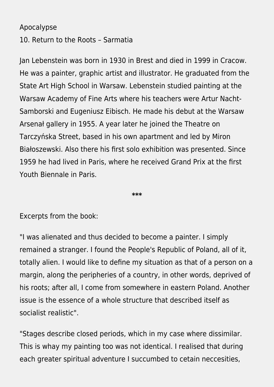## Apocalypse

10. Return to the Roots – Sarmatia

Jan Lebenstein was born in 1930 in Brest and died in 1999 in Cracow. He was a painter, graphic artist and illustrator. He graduated from the State Art High School in Warsaw. Lebenstein studied painting at the Warsaw Academy of Fine Arts where his teachers were Artur Nacht-Samborski and Eugeniusz Eibisch. He made his debut at the Warsaw Arsenał gallery in 1955. A year later he joined the Theatre on Tarczyńska Street, based in his own apartment and led by Miron Białoszewski. Also there his first solo exhibition was presented. Since 1959 he had lived in Paris, where he received Grand Prix at the first Youth Biennale in Paris.

**\*\*\***

Excerpts from the book:

"I was alienated and thus decided to become a painter. I simply remained a stranger. I found the People's Republic of Poland, all of it, totally alien. I would like to define my situation as that of a person on a margin, along the peripheries of a country, in other words, deprived of his roots; after all, I come from somewhere in eastern Poland. Another issue is the essence of a whole structure that described itself as socialist realistic".

"Stages describe closed periods, which in my case where dissimilar. This is whay my painting too was not identical. I realised that during each greater spiritual adventure I succumbed to cetain neccesities,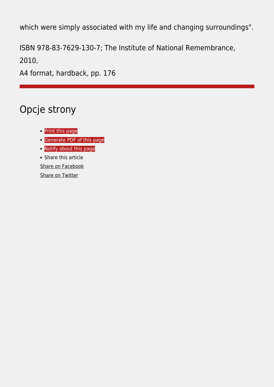which were simply associated with my life and changing surroundings".

ISBN 978-83-7629-130-7; The Institute of National Remembrance,

2010,

A4 format, hardback, pp. 176

## Opcje strony

- **•** [Print](https://ipn.gov.pl/javascript:winopen() [this page](https://ipn.gov.pl/javascript:winopen()
- [Generate PDF](https://ipn.gov.pl/en/digital-resources/publications/7019,The-Lebenstein-Code-Poland-during-the-Twentieth-Century-along-the-Traces-of-Jan-.pdf) [of this page](https://ipn.gov.pl/en/digital-resources/publications/7019,The-Lebenstein-Code-Poland-during-the-Twentieth-Century-along-the-Traces-of-Jan-.pdf)
- [Notify](https://ipn.gov.pl/en/powiadom/7019,dok.html?poz=digital-resources/publications&drukuj=window) [about this page](https://ipn.gov.pl/en/powiadom/7019,dok.html?poz=digital-resources/publications&drukuj=window)
- Share this article

[Share](https://www.facebook.com/sharer/sharer.php?u=https://ipn.gov.pl/en/digital-resources/publications/7019,The-Lebenstein-Code-Poland-during-the-Twentieth-Century-along-the-Traces-of-Jan-.html) [on Facebook](https://www.facebook.com/sharer/sharer.php?u=https://ipn.gov.pl/en/digital-resources/publications/7019,The-Lebenstein-Code-Poland-during-the-Twentieth-Century-along-the-Traces-of-Jan-.html)

[Share](https://twitter.com/share) [on Twitter](https://twitter.com/share)